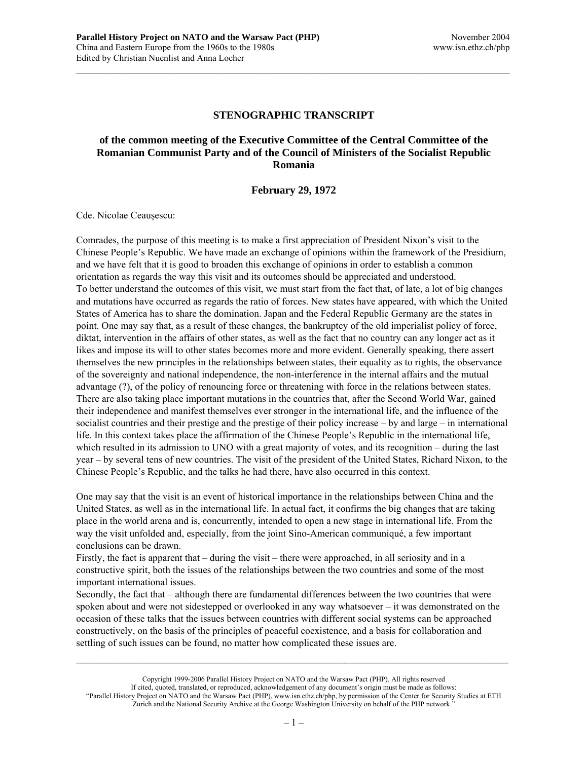# **STENOGRAPHIC TRANSCRIPT**

 $\mathcal{L}_\text{max}$ 

# **of the common meeting of the Executive Committee of the Central Committee of the Romanian Communist Party and of the Council of Ministers of the Socialist Republic Romania**

### **February 29, 1972**

Cde. Nicolae Ceauşescu:

Comrades, the purpose of this meeting is to make a first appreciation of President Nixon's visit to the Chinese People's Republic. We have made an exchange of opinions within the framework of the Presidium, and we have felt that it is good to broaden this exchange of opinions in order to establish a common orientation as regards the way this visit and its outcomes should be appreciated and understood. To better understand the outcomes of this visit, we must start from the fact that, of late, a lot of big changes and mutations have occurred as regards the ratio of forces. New states have appeared, with which the United States of America has to share the domination. Japan and the Federal Republic Germany are the states in point. One may say that, as a result of these changes, the bankruptcy of the old imperialist policy of force, diktat, intervention in the affairs of other states, as well as the fact that no country can any longer act as it likes and impose its will to other states becomes more and more evident. Generally speaking, there assert themselves the new principles in the relationships between states, their equality as to rights, the observance of the sovereignty and national independence, the non-interference in the internal affairs and the mutual advantage (?), of the policy of renouncing force or threatening with force in the relations between states. There are also taking place important mutations in the countries that, after the Second World War, gained their independence and manifest themselves ever stronger in the international life, and the influence of the socialist countries and their prestige and the prestige of their policy increase – by and large – in international life. In this context takes place the affirmation of the Chinese People's Republic in the international life, which resulted in its admission to UNO with a great majority of votes, and its recognition – during the last year – by several tens of new countries. The visit of the president of the United States, Richard Nixon, to the Chinese People's Republic, and the talks he had there, have also occurred in this context.

One may say that the visit is an event of historical importance in the relationships between China and the United States, as well as in the international life. In actual fact, it confirms the big changes that are taking place in the world arena and is, concurrently, intended to open a new stage in international life. From the way the visit unfolded and, especially, from the joint Sino-American communiqué, a few important conclusions can be drawn.

Firstly, the fact is apparent that – during the visit – there were approached, in all seriosity and in a constructive spirit, both the issues of the relationships between the two countries and some of the most important international issues.

Secondly, the fact that – although there are fundamental differences between the two countries that were spoken about and were not sidestepped or overlooked in any way whatsoever – it was demonstrated on the occasion of these talks that the issues between countries with different social systems can be approached constructively, on the basis of the principles of peaceful coexistence, and a basis for collaboration and settling of such issues can be found, no matter how complicated these issues are.

Copyright 1999-2006 Parallel History Project on NATO and the Warsaw Pact (PHP). All rights reserved If cited, quoted, translated, or reproduced, acknowledgement of any document's origin must be made as follows: "Parallel History Project on NATO and the Warsaw Pact (PHP), www.isn.ethz.ch/php, by permission of the Center for Security Studies at ETH Zurich and the National Security Archive at the George Washington University on behalf of the PHP network."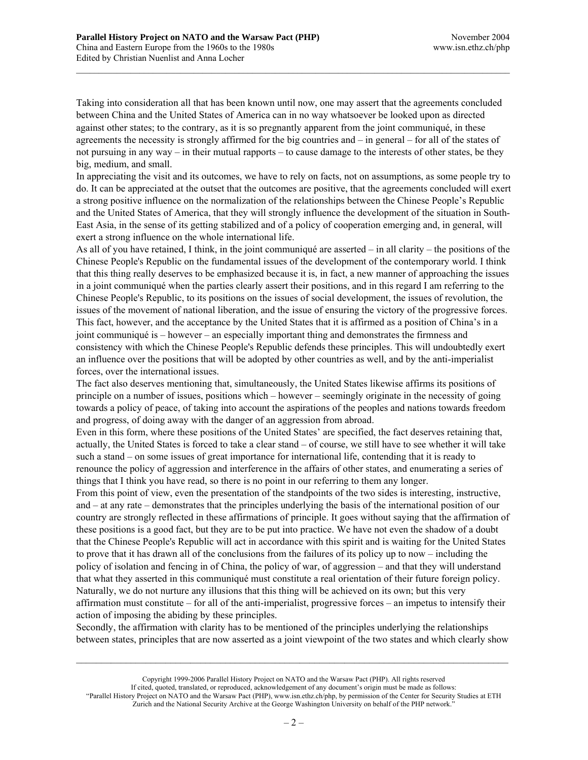Taking into consideration all that has been known until now, one may assert that the agreements concluded between China and the United States of America can in no way whatsoever be looked upon as directed against other states; to the contrary, as it is so pregnantly apparent from the joint communiqué, in these agreements the necessity is strongly affirmed for the big countries and – in general – for all of the states of not pursuing in any way – in their mutual rapports – to cause damage to the interests of other states, be they big, medium, and small.

 $\mathcal{L}_\text{max}$ 

In appreciating the visit and its outcomes, we have to rely on facts, not on assumptions, as some people try to do. It can be appreciated at the outset that the outcomes are positive, that the agreements concluded will exert a strong positive influence on the normalization of the relationships between the Chinese People's Republic and the United States of America, that they will strongly influence the development of the situation in South-East Asia, in the sense of its getting stabilized and of a policy of cooperation emerging and, in general, will exert a strong influence on the whole international life.

As all of you have retained, I think, in the joint communiqué are asserted – in all clarity – the positions of the Chinese People's Republic on the fundamental issues of the development of the contemporary world. I think that this thing really deserves to be emphasized because it is, in fact, a new manner of approaching the issues in a joint communiqué when the parties clearly assert their positions, and in this regard I am referring to the Chinese People's Republic, to its positions on the issues of social development, the issues of revolution, the issues of the movement of national liberation, and the issue of ensuring the victory of the progressive forces. This fact, however, and the acceptance by the United States that it is affirmed as a position of China's in a joint communiqué is – however – an especially important thing and demonstrates the firmness and consistency with which the Chinese People's Republic defends these principles. This will undoubtedly exert an influence over the positions that will be adopted by other countries as well, and by the anti-imperialist forces, over the international issues.

The fact also deserves mentioning that, simultaneously, the United States likewise affirms its positions of principle on a number of issues, positions which – however – seemingly originate in the necessity of going towards a policy of peace, of taking into account the aspirations of the peoples and nations towards freedom and progress, of doing away with the danger of an aggression from abroad.

Even in this form, where these positions of the United States' are specified, the fact deserves retaining that, actually, the United States is forced to take a clear stand – of course, we still have to see whether it will take such a stand – on some issues of great importance for international life, contending that it is ready to renounce the policy of aggression and interference in the affairs of other states, and enumerating a series of things that I think you have read, so there is no point in our referring to them any longer.

From this point of view, even the presentation of the standpoints of the two sides is interesting, instructive, and – at any rate – demonstrates that the principles underlying the basis of the international position of our country are strongly reflected in these affirmations of principle. It goes without saying that the affirmation of these positions is a good fact, but they are to be put into practice. We have not even the shadow of a doubt that the Chinese People's Republic will act in accordance with this spirit and is waiting for the United States to prove that it has drawn all of the conclusions from the failures of its policy up to now – including the policy of isolation and fencing in of China, the policy of war, of aggression – and that they will understand that what they asserted in this communiqué must constitute a real orientation of their future foreign policy. Naturally, we do not nurture any illusions that this thing will be achieved on its own; but this very affirmation must constitute – for all of the anti-imperialist, progressive forces – an impetus to intensify their action of imposing the abiding by these principles.

Secondly, the affirmation with clarity has to be mentioned of the principles underlying the relationships between states, principles that are now asserted as a joint viewpoint of the two states and which clearly show

Copyright 1999-2006 Parallel History Project on NATO and the Warsaw Pact (PHP). All rights reserved If cited, quoted, translated, or reproduced, acknowledgement of any document's origin must be made as follows: "Parallel History Project on NATO and the Warsaw Pact (PHP), www.isn.ethz.ch/php, by permission of the Center for Security Studies at ETH Zurich and the National Security Archive at the George Washington University on behalf of the PHP network."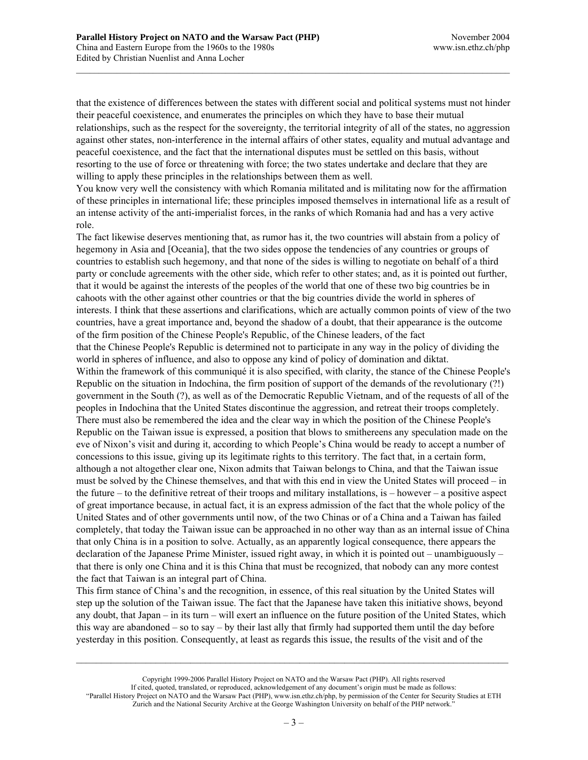that the existence of differences between the states with different social and political systems must not hinder their peaceful coexistence, and enumerates the principles on which they have to base their mutual relationships, such as the respect for the sovereignty, the territorial integrity of all of the states, no aggression against other states, non-interference in the internal affairs of other states, equality and mutual advantage and peaceful coexistence, and the fact that the international disputes must be settled on this basis, without resorting to the use of force or threatening with force; the two states undertake and declare that they are willing to apply these principles in the relationships between them as well.

 $\mathcal{L}_\text{max}$ 

You know very well the consistency with which Romania militated and is militating now for the affirmation of these principles in international life; these principles imposed themselves in international life as a result of an intense activity of the anti-imperialist forces, in the ranks of which Romania had and has a very active role.

The fact likewise deserves mentioning that, as rumor has it, the two countries will abstain from a policy of hegemony in Asia and [Oceania], that the two sides oppose the tendencies of any countries or groups of countries to establish such hegemony, and that none of the sides is willing to negotiate on behalf of a third party or conclude agreements with the other side, which refer to other states; and, as it is pointed out further, that it would be against the interests of the peoples of the world that one of these two big countries be in cahoots with the other against other countries or that the big countries divide the world in spheres of interests. I think that these assertions and clarifications, which are actually common points of view of the two countries, have a great importance and, beyond the shadow of a doubt, that their appearance is the outcome of the firm position of the Chinese People's Republic, of the Chinese leaders, of the fact that the Chinese People's Republic is determined not to participate in any way in the policy of dividing the world in spheres of influence, and also to oppose any kind of policy of domination and diktat. Within the framework of this communiqué it is also specified, with clarity, the stance of the Chinese People's Republic on the situation in Indochina, the firm position of support of the demands of the revolutionary (?!) government in the South (?), as well as of the Democratic Republic Vietnam, and of the requests of all of the peoples in Indochina that the United States discontinue the aggression, and retreat their troops completely. There must also be remembered the idea and the clear way in which the position of the Chinese People's Republic on the Taiwan issue is expressed, a position that blows to smithereens any speculation made on the eve of Nixon's visit and during it, according to which People's China would be ready to accept a number of concessions to this issue, giving up its legitimate rights to this territory. The fact that, in a certain form, although a not altogether clear one, Nixon admits that Taiwan belongs to China, and that the Taiwan issue must be solved by the Chinese themselves, and that with this end in view the United States will proceed – in the future – to the definitive retreat of their troops and military installations, is – however – a positive aspect of great importance because, in actual fact, it is an express admission of the fact that the whole policy of the United States and of other governments until now, of the two Chinas or of a China and a Taiwan has failed completely, that today the Taiwan issue can be approached in no other way than as an internal issue of China that only China is in a position to solve. Actually, as an apparently logical consequence, there appears the declaration of the Japanese Prime Minister, issued right away, in which it is pointed out – unambiguously – that there is only one China and it is this China that must be recognized, that nobody can any more contest the fact that Taiwan is an integral part of China.

This firm stance of China's and the recognition, in essence, of this real situation by the United States will step up the solution of the Taiwan issue. The fact that the Japanese have taken this initiative shows, beyond any doubt, that Japan – in its turn – will exert an influence on the future position of the United States, which this way are abandoned – so to say – by their last ally that firmly had supported them until the day before yesterday in this position. Consequently, at least as regards this issue, the results of the visit and of the

Copyright 1999-2006 Parallel History Project on NATO and the Warsaw Pact (PHP). All rights reserved If cited, quoted, translated, or reproduced, acknowledgement of any document's origin must be made as follows: "Parallel History Project on NATO and the Warsaw Pact (PHP), www.isn.ethz.ch/php, by permission of the Center for Security Studies at ETH Zurich and the National Security Archive at the George Washington University on behalf of the PHP network."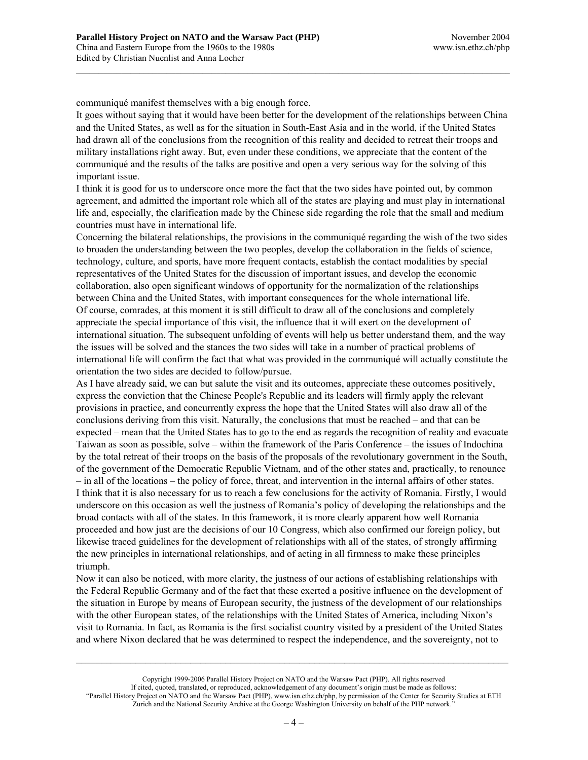communiqué manifest themselves with a big enough force.

It goes without saying that it would have been better for the development of the relationships between China and the United States, as well as for the situation in South-East Asia and in the world, if the United States had drawn all of the conclusions from the recognition of this reality and decided to retreat their troops and military installations right away. But, even under these conditions, we appreciate that the content of the communiqué and the results of the talks are positive and open a very serious way for the solving of this important issue.

 $\mathcal{L}_\text{max}$ 

I think it is good for us to underscore once more the fact that the two sides have pointed out, by common agreement, and admitted the important role which all of the states are playing and must play in international life and, especially, the clarification made by the Chinese side regarding the role that the small and medium countries must have in international life.

Concerning the bilateral relationships, the provisions in the communiqué regarding the wish of the two sides to broaden the understanding between the two peoples, develop the collaboration in the fields of science, technology, culture, and sports, have more frequent contacts, establish the contact modalities by special representatives of the United States for the discussion of important issues, and develop the economic collaboration, also open significant windows of opportunity for the normalization of the relationships between China and the United States, with important consequences for the whole international life. Of course, comrades, at this moment it is still difficult to draw all of the conclusions and completely appreciate the special importance of this visit, the influence that it will exert on the development of international situation. The subsequent unfolding of events will help us better understand them, and the way the issues will be solved and the stances the two sides will take in a number of practical problems of international life will confirm the fact that what was provided in the communiqué will actually constitute the orientation the two sides are decided to follow/pursue.

As I have already said, we can but salute the visit and its outcomes, appreciate these outcomes positively, express the conviction that the Chinese People's Republic and its leaders will firmly apply the relevant provisions in practice, and concurrently express the hope that the United States will also draw all of the conclusions deriving from this visit. Naturally, the conclusions that must be reached – and that can be expected – mean that the United States has to go to the end as regards the recognition of reality and evacuate Taiwan as soon as possible, solve – within the framework of the Paris Conference – the issues of Indochina by the total retreat of their troops on the basis of the proposals of the revolutionary government in the South, of the government of the Democratic Republic Vietnam, and of the other states and, practically, to renounce – in all of the locations – the policy of force, threat, and intervention in the internal affairs of other states. I think that it is also necessary for us to reach a few conclusions for the activity of Romania. Firstly, I would underscore on this occasion as well the justness of Romania's policy of developing the relationships and the broad contacts with all of the states. In this framework, it is more clearly apparent how well Romania proceeded and how just are the decisions of our 10 Congress, which also confirmed our foreign policy, but likewise traced guidelines for the development of relationships with all of the states, of strongly affirming the new principles in international relationships, and of acting in all firmness to make these principles triumph.

Now it can also be noticed, with more clarity, the justness of our actions of establishing relationships with the Federal Republic Germany and of the fact that these exerted a positive influence on the development of the situation in Europe by means of European security, the justness of the development of our relationships with the other European states, of the relationships with the United States of America, including Nixon's visit to Romania. In fact, as Romania is the first socialist country visited by a president of the United States and where Nixon declared that he was determined to respect the independence, and the sovereignty, not to

Copyright 1999-2006 Parallel History Project on NATO and the Warsaw Pact (PHP). All rights reserved If cited, quoted, translated, or reproduced, acknowledgement of any document's origin must be made as follows: "Parallel History Project on NATO and the Warsaw Pact (PHP), www.isn.ethz.ch/php, by permission of the Center for Security Studies at ETH Zurich and the National Security Archive at the George Washington University on behalf of the PHP network."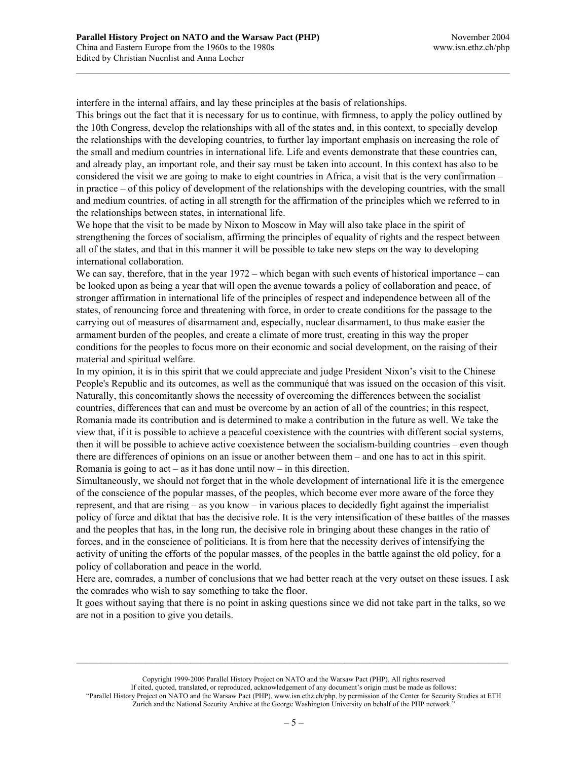interfere in the internal affairs, and lay these principles at the basis of relationships.

This brings out the fact that it is necessary for us to continue, with firmness, to apply the policy outlined by the 10th Congress, develop the relationships with all of the states and, in this context, to specially develop the relationships with the developing countries, to further lay important emphasis on increasing the role of the small and medium countries in international life. Life and events demonstrate that these countries can, and already play, an important role, and their say must be taken into account. In this context has also to be considered the visit we are going to make to eight countries in Africa, a visit that is the very confirmation – in practice – of this policy of development of the relationships with the developing countries, with the small and medium countries, of acting in all strength for the affirmation of the principles which we referred to in the relationships between states, in international life.

 $\mathcal{L}_\text{max}$ 

We hope that the visit to be made by Nixon to Moscow in May will also take place in the spirit of strengthening the forces of socialism, affirming the principles of equality of rights and the respect between all of the states, and that in this manner it will be possible to take new steps on the way to developing international collaboration.

We can say, therefore, that in the year 1972 – which began with such events of historical importance – can be looked upon as being a year that will open the avenue towards a policy of collaboration and peace, of stronger affirmation in international life of the principles of respect and independence between all of the states, of renouncing force and threatening with force, in order to create conditions for the passage to the carrying out of measures of disarmament and, especially, nuclear disarmament, to thus make easier the armament burden of the peoples, and create a climate of more trust, creating in this way the proper conditions for the peoples to focus more on their economic and social development, on the raising of their material and spiritual welfare.

In my opinion, it is in this spirit that we could appreciate and judge President Nixon's visit to the Chinese People's Republic and its outcomes, as well as the communiqué that was issued on the occasion of this visit. Naturally, this concomitantly shows the necessity of overcoming the differences between the socialist countries, differences that can and must be overcome by an action of all of the countries; in this respect, Romania made its contribution and is determined to make a contribution in the future as well. We take the view that, if it is possible to achieve a peaceful coexistence with the countries with different social systems, then it will be possible to achieve active coexistence between the socialism-building countries – even though there are differences of opinions on an issue or another between them – and one has to act in this spirit. Romania is going to act – as it has done until now – in this direction.

Simultaneously, we should not forget that in the whole development of international life it is the emergence of the conscience of the popular masses, of the peoples, which become ever more aware of the force they represent, and that are rising – as you know – in various places to decidedly fight against the imperialist policy of force and diktat that has the decisive role. It is the very intensification of these battles of the masses and the peoples that has, in the long run, the decisive role in bringing about these changes in the ratio of forces, and in the conscience of politicians. It is from here that the necessity derives of intensifying the activity of uniting the efforts of the popular masses, of the peoples in the battle against the old policy, for a policy of collaboration and peace in the world.

Here are, comrades, a number of conclusions that we had better reach at the very outset on these issues. I ask the comrades who wish to say something to take the floor.

It goes without saying that there is no point in asking questions since we did not take part in the talks, so we are not in a position to give you details.

Copyright 1999-2006 Parallel History Project on NATO and the Warsaw Pact (PHP). All rights reserved If cited, quoted, translated, or reproduced, acknowledgement of any document's origin must be made as follows: "Parallel History Project on NATO and the Warsaw Pact (PHP), www.isn.ethz.ch/php, by permission of the Center for Security Studies at ETH Zurich and the National Security Archive at the George Washington University on behalf of the PHP network."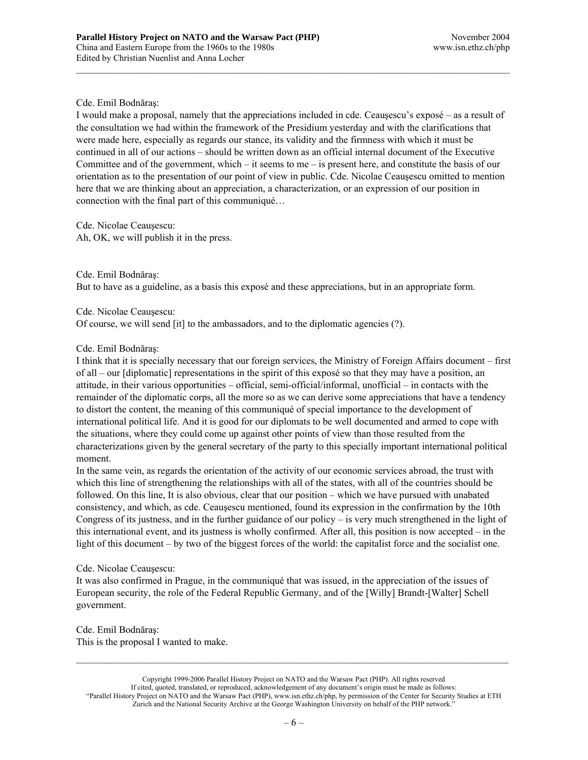# Cde. Emil Bodnăraş:

I would make a proposal, namely that the appreciations included in cde. Ceauşescu's exposé – as a result of the consultation we had within the framework of the Presidium yesterday and with the clarifications that were made here, especially as regards our stance, its validity and the firmness with which it must be continued in all of our actions – should be written down as an official internal document of the Executive Committee and of the government, which – it seems to me – is present here, and constitute the basis of our orientation as to the presentation of our point of view in public. Cde. Nicolae Ceauşescu omitted to mention here that we are thinking about an appreciation, a characterization, or an expression of our position in connection with the final part of this communiqué…

 $\mathcal{L}_\text{max}$ 

Cde. Nicolae Ceauşescu: Ah, OK, we will publish it in the press.

Cde. Emil Bodnăraş: But to have as a guideline, as a basis this exposé and these appreciations, but in an appropriate form.

Cde. Nicolae Ceauşescu: Of course, we will send [it] to the ambassadors, and to the diplomatic agencies (?).

### Cde. Emil Bodnăraş:

I think that it is specially necessary that our foreign services, the Ministry of Foreign Affairs document – first of all – our [diplomatic] representations in the spirit of this exposé so that they may have a position, an attitude, in their various opportunities – official, semi-official/informal, unofficial – in contacts with the remainder of the diplomatic corps, all the more so as we can derive some appreciations that have a tendency to distort the content, the meaning of this communiqué of special importance to the development of international political life. And it is good for our diplomats to be well documented and armed to cope with the situations, where they could come up against other points of view than those resulted from the characterizations given by the general secretary of the party to this specially important international political moment.

In the same vein, as regards the orientation of the activity of our economic services abroad, the trust with which this line of strengthening the relationships with all of the states, with all of the countries should be followed. On this line, It is also obvious, clear that our position – which we have pursued with unabated consistency, and which, as cde. Ceauşescu mentioned, found its expression in the confirmation by the 10th Congress of its justness, and in the further guidance of our policy – is very much strengthened in the light of this international event, and its justness is wholly confirmed. After all, this position is now accepted – in the light of this document – by two of the biggest forces of the world: the capitalist force and the socialist one.

### Cde. Nicolae Ceauşescu:

It was also confirmed in Prague, in the communiqué that was issued, in the appreciation of the issues of European security, the role of the Federal Republic Germany, and of the [Willy] Brandt-[Walter] Schell government.

Cde. Emil Bodnăraş: This is the proposal I wanted to make.

Copyright 1999-2006 Parallel History Project on NATO and the Warsaw Pact (PHP). All rights reserved If cited, quoted, translated, or reproduced, acknowledgement of any document's origin must be made as follows: "Parallel History Project on NATO and the Warsaw Pact (PHP), www.isn.ethz.ch/php, by permission of the Center for Security Studies at ETH Zurich and the National Security Archive at the George Washington University on behalf of the PHP network."